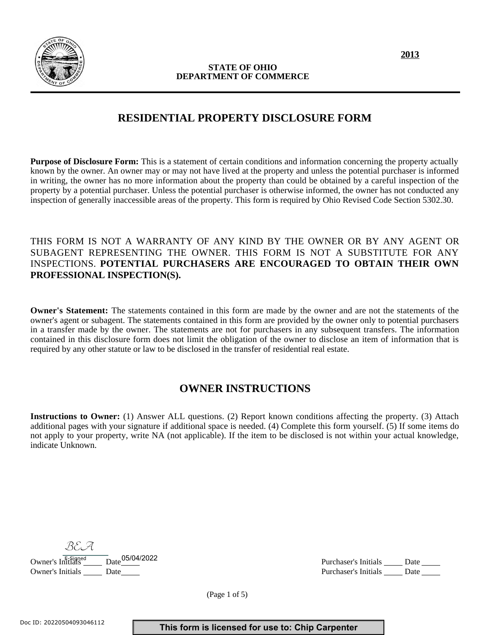

### **STATE OF OHIO DEPARTMENT OF COMMERCE**

# **RESIDENTIAL PROPERTY DISCLOSURE FORM**

**Purpose of Disclosure Form:** This is a statement of certain conditions and information concerning the property actually known by the owner. An owner may or may not have lived at the property and unless the potential purchaser is informed in writing, the owner has no more information about the property than could be obtained by a careful inspection of the property by a potential purchaser. Unless the potential purchaser is otherwise informed, the owner has not conducted any inspection of generally inaccessible areas of the property. This form is required by Ohio Revised Code Section 5302.30.

THIS FORM IS NOT A WARRANTY OF ANY KIND BY THE OWNER OR BY ANY AGENT OR SUBAGENT REPRESENTING THE OWNER. THIS FORM IS NOT A SUBSTITUTE FOR ANY INSPECTIONS. **POTENTIAL PURCHASERS ARE ENCOURAGED TO OBTAIN THEIR OWN PROFESSIONAL INSPECTION(S).**

**Owner's Statement:** The statements contained in this form are made by the owner and are not the statements of the owner's agent or subagent. The statements contained in this form are provided by the owner only to potential purchasers in a transfer made by the owner. The statements are not for purchasers in any subsequent transfers. The information contained in this disclosure form does not limit the obligation of the owner to disclose an item of information that is required by any other statute or law to be disclosed in the transfer of residential real estate.

### **OWNER INSTRUCTIONS**

**Instructions to Owner:** (1) Answer ALL questions. (2) Report known conditions affecting the property. (3) Attach additional pages with your signature if additional space is needed. (4) Complete this form yourself. (5) If some items do not apply to your property, write NA (not applicable). If the item to be disclosed is not within your actual knowledge, indicate Unknown.

Owner's Initials Date Purchaser's Initials Date Owner's Initials Date Date Purchaser's Initials Date Date Purchaser's Initials Date Date Purchaser's Initials Date Date Purchaser's Initials Date Purchaser's Initials Date Purchaser's Initials Date Purchaser's Initials Dat BEA  $\frac{1}{2}$ Date<sup>05/04/2022</sup>

(Page 1 of 5)

**This form is licensed for use to: Chip Carpenter**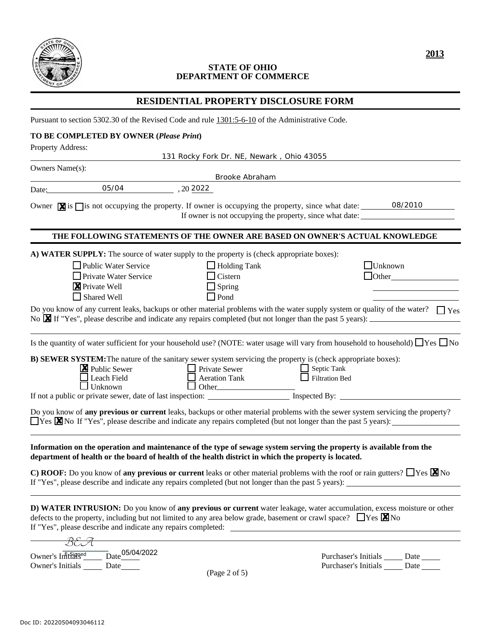

#### **STATE OF OHIO DEPARTMENT OF COMMERCE**

| $\ddot{\ }$                                                                                                                                                                                                                                                 |                                      |
|-------------------------------------------------------------------------------------------------------------------------------------------------------------------------------------------------------------------------------------------------------------|--------------------------------------|
| RESIDENTIAL PROPERTY DISCLOSURE FORM                                                                                                                                                                                                                        |                                      |
| Pursuant to section 5302.30 of the Revised Code and rule 1301:5-6-10 of the Administrative Code.                                                                                                                                                            |                                      |
| TO BE COMPLETED BY OWNER (Please Print)                                                                                                                                                                                                                     |                                      |
| Property Address:<br>131 Rocky Fork Dr. NE, Newark, Ohio 43055                                                                                                                                                                                              |                                      |
| Owners Name(s):<br>Brooke Abraham                                                                                                                                                                                                                           |                                      |
| 05/04, 20 2022<br>Date:                                                                                                                                                                                                                                     |                                      |
| Owner $\mathbf{X}$ is $\Box$ is not occupying the property. If owner is occupying the property, since what date: 08/2010<br>If owner is not occupying the property, since what date:                                                                        |                                      |
| THE FOLLOWING STATEMENTS OF THE OWNER ARE BASED ON OWNER'S ACTUAL KNOWLEDGE                                                                                                                                                                                 |                                      |
| A) WATER SUPPLY: The source of water supply to the property is (check appropriate boxes):                                                                                                                                                                   |                                      |
| Public Water Service<br>Holding Tank<br>Private Water Service<br>$\Box$ Cistern<br><b>X</b> Private Well<br>$\Box$ Spring<br><b>Shared Well</b><br>$\Box$ Pond                                                                                              | $\Box$ Unknown<br>$\Box$ Other       |
| Do you know of any current leaks, backups or other material problems with the water supply system or quality of the water?<br>No $\boxtimes$ If "Yes", please describe and indicate any repairs completed (but not longer than the past 5 years):           | $\Box$ Yes                           |
| Is the quantity of water sufficient for your household use? (NOTE: water usage will vary from household to household) $\Box$ Yes $\Box$ No                                                                                                                  |                                      |
| B) SEWER SYSTEM: The nature of the sanitary sewer system servicing the property is (check appropriate boxes):<br><b>X</b> Public Sewer<br>$\Box$ Private Sewer<br>$\Box$ Aeration Tank<br>Leach Field<br>J Unknown                                          | Septic Tank<br><b>Filtration Bed</b> |
| Do you know of any previous or current leaks, backups or other material problems with the sewer system servicing the property?<br>$\Box$ Yes $\Box$ No If "Yes", please describe and indicate any repairs completed (but not longer than the past 5 years): |                                      |
| Information on the operation and maintenance of the type of sewage system serving the property is available from the<br>department of health or the board of health of the health district in which the property is located.                                |                                      |
| C) ROOF: Do you know of any previous or current leaks or other material problems with the roof or rain gutters? $\Box$ Yes $\Box$ No<br>If "Yes", please describe and indicate any repairs completed (but not longer than the past 5 years):                |                                      |
| D) WATER INTRUSION: Do you know of any previous or current water leakage, water accumulation, excess moisture or other<br>defects to the property, including but not limited to any area below grade, basement or crawl space? $\Box$ Yes <b>X</b> No       |                                      |
| $T_{\rm{Data}}$ 05/04/2022<br>$OW$ $In$ $In$ $In$ $In$ $In$ $In$ $In$ and $In$                                                                                                                                                                              | Durchasor's Initials<br>Data         |

(Page 2 of 5)

Owner's Infteration Date Date Date 2022 Purchaser's Initials Date Date Owner's Initials Date Date Devices Contains Date Purchaser's Initials Date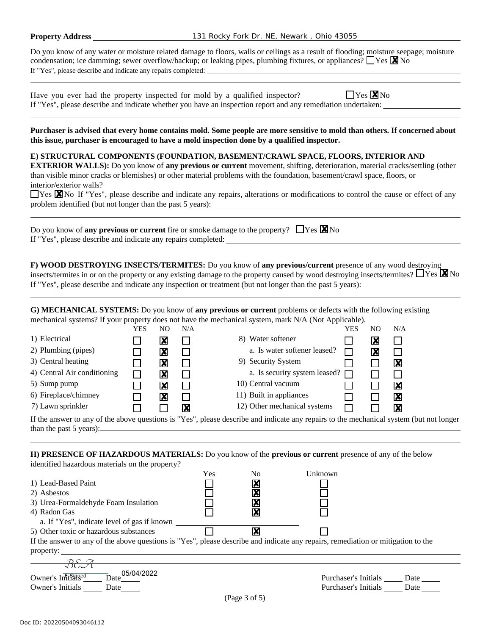**Property Address**

If "Yes", please describe and indicate any repairs completed: Do you know of any water or moisture related damage to floors, walls or ceilings as a result of flooding; moisture seepage; moisture condensation; ice damming; sewer overflow/backup; or leaking pipes, plumbing fixtures, or appliances?  $\Box$  Yes  $\boxtimes$  No

| Have you ever had the property inspected for mold by a qualified inspector?                                  | $\Box$ Yes $\cancel{\mathsf{X}}$ No |
|--------------------------------------------------------------------------------------------------------------|-------------------------------------|
| If "Yes", please describe and indicate whether you have an inspection report and any remediation undertaken: |                                     |

**Purchaser is advised that every home contains mold. Some people are more sensitive to mold than others. If concerned about this issue, purchaser is encouraged to have a mold inspection done by a qualified inspector.**

**E) STRUCTURAL COMPONENTS (FOUNDATION, BASEMENT/CRAWL SPACE, FLOORS, INTERIOR AND**

| <b>EXTERIOR WALLS</b> : Do you know of any previous or current movement, shifting, deterioration, material cracks/settling (other |
|-----------------------------------------------------------------------------------------------------------------------------------|
| than visible minor cracks or blemishes) or other material problems with the foundation, basement/crawl space, floors, or          |
| interior/exterior walls?                                                                                                          |
| $\overline{\phantom{a}}$                                                                                                          |

|                                                            | $\Box$ Yes $\Box$ No If "Yes", please describe and indicate any repairs, alterations or modifications to control the cause or effect of any |
|------------------------------------------------------------|---------------------------------------------------------------------------------------------------------------------------------------------|
| problem identified (but not longer than the past 5 years): |                                                                                                                                             |

| Do you know of <b>any previous or current</b> fire or smoke damage to the property? $\Box$ Yes <b>X</b> No |  |
|------------------------------------------------------------------------------------------------------------|--|
| If "Yes", please describe and indicate any repairs completed:                                              |  |

**F) WOOD DESTROYING INSECTS/TERMITES:** Do you know of **any previous/current** presence of any wood destroying insects/termites in or on the property or any existing damage to the property caused by wood destroying insects/termites?  $\Box$  Yes  $\Box$  No If "Yes", please describe and indicate any inspection or treatment (but not longer than the past 5 years):

**G) MECHANICAL SYSTEMS:** Do you know of **any previous or current** problems or defects with the following existing mechanical systems? If your property does not have the mechanical system, mark N/A (Not Applicable).

|                             | YES | NO                      | N/A |                                                                                                                                         | YES | NO          | N/A |
|-----------------------------|-----|-------------------------|-----|-----------------------------------------------------------------------------------------------------------------------------------------|-----|-------------|-----|
| 1) Electrical               |     | <u>IX</u>               |     | 8) Water softener                                                                                                                       |     | $\mathbf x$ |     |
| 2) Plumbing (pipes)         |     | X                       |     | a. Is water softener leased?                                                                                                            |     | $\mathbf X$ |     |
| 3) Central heating          |     | $\overline{\mathbf{x}}$ |     | 9) Security System                                                                                                                      |     |             | X   |
| 4) Central Air conditioning |     | X                       |     | a. Is security system leased?                                                                                                           |     |             |     |
| 5) Sump pump                |     | X                       |     | 10) Central vacuum                                                                                                                      |     |             | X   |
| 6) Fireplace/chimney        |     | X                       |     | 11) Built in appliances                                                                                                                 |     |             | X   |
| 7) Lawn sprinkler           |     |                         | X   | 12) Other mechanical systems                                                                                                            |     |             | X   |
|                             |     |                         |     | If the answer to any of the above questions is "Yes", please describe and indicate any repairs to the mechanical system (but not longer |     |             |     |
| than the past $5$ years):   |     |                         |     |                                                                                                                                         |     |             |     |

**H) PRESENCE OF HAZARDOUS MATERIALS:** Do you know of the **previous or current** presence of any of the below identified hazardous materials on the property?

|                                                                                                                                  | Yes | No          | Unknown              |             |
|----------------------------------------------------------------------------------------------------------------------------------|-----|-------------|----------------------|-------------|
| 1) Lead-Based Paint                                                                                                              |     | $\mathbf x$ |                      |             |
| 2) Asbestos                                                                                                                      |     | X           |                      |             |
| 3) Urea-Formaldehyde Foam Insulation                                                                                             |     | X           |                      |             |
| 4) Radon Gas                                                                                                                     |     | X           |                      |             |
| a. If "Yes", indicate level of gas if known                                                                                      |     |             |                      |             |
| 5) Other toxic or hazardous substances                                                                                           |     |             |                      |             |
| If the answer to any of the above questions is "Yes", please describe and indicate any repairs, remediation or mitigation to the |     |             |                      |             |
| property:                                                                                                                        |     |             |                      |             |
|                                                                                                                                  |     |             |                      |             |
| 05/04/2022                                                                                                                       |     |             |                      |             |
| Owner's Infitunged<br>Date                                                                                                       |     |             | Purchaser's Initials | Date $\_\_$ |
| Owner's Initials<br>Date                                                                                                         |     |             | Purchaser's Initials | Date $\_\_$ |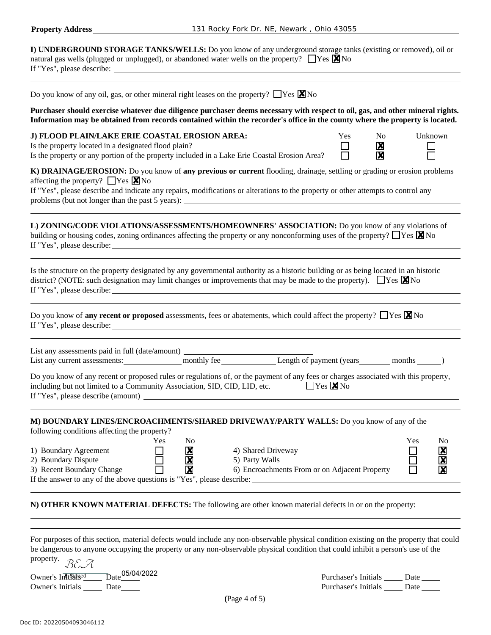|                                                                                                        | 131 Rocky Fork Dr. NE, Newark, Ohio 43055                                                                                                                                                                                                                               |                           |                          |         |                                     |
|--------------------------------------------------------------------------------------------------------|-------------------------------------------------------------------------------------------------------------------------------------------------------------------------------------------------------------------------------------------------------------------------|---------------------------|--------------------------|---------|-------------------------------------|
|                                                                                                        | I) UNDERGROUND STORAGE TANKS/WELLS: Do you know of any underground storage tanks (existing or removed), oil or<br>natural gas wells (plugged or unplugged), or abandoned water wells on the property? $\Box$ Yes <b><math>\boxtimes</math></b> No                       |                           |                          |         |                                     |
|                                                                                                        | Do you know of any oil, gas, or other mineral right leases on the property? $\Box$ Yes $\boxtimes$ No                                                                                                                                                                   |                           |                          |         |                                     |
|                                                                                                        | Purchaser should exercise whatever due diligence purchaser deems necessary with respect to oil, gas, and other mineral rights.<br>Information may be obtained from records contained within the recorder's office in the county where the property is located.          |                           |                          |         |                                     |
| J) FLOOD PLAIN/LAKE ERIE COASTAL EROSION AREA:<br>Is the property located in a designated flood plain? | Is the property or any portion of the property included in a Lake Erie Coastal Erosion Area?                                                                                                                                                                            | Yes<br>$\Box$             | N <sub>o</sub><br>X<br>X | Unknown |                                     |
| affecting the property? $\Box$ Yes $\boxtimes$ No                                                      | K) DRAINAGE/EROSION: Do you know of any previous or current flooding, drainage, settling or grading or erosion problems<br>If "Yes", please describe and indicate any repairs, modifications or alterations to the property or other attempts to control any            |                           |                          |         |                                     |
|                                                                                                        | L) ZONING/CODE VIOLATIONS/ASSESSMENTS/HOMEOWNERS' ASSOCIATION: Do you know of any violations of<br>building or housing codes, zoning ordinances affecting the property or any nonconforming uses of the property? $\Box$ Yes $\boxtimes$ No                             |                           |                          |         |                                     |
|                                                                                                        | Is the structure on the property designated by any governmental authority as a historic building or as being located in an historic<br>district? (NOTE: such designation may limit changes or improvements that may be made to the property). $\Box$ Yes $\boxtimes$ No |                           |                          |         |                                     |
|                                                                                                        | Do you know of <b>any recent or proposed</b> assessments, fees or abatements, which could affect the property? $\Box$ Yes $\boxtimes$ No                                                                                                                                |                           |                          |         |                                     |
|                                                                                                        |                                                                                                                                                                                                                                                                         |                           |                          |         |                                     |
| including but not limited to a Community Association, SID, CID, LID, etc.                              | Do you know of any recent or proposed rules or regulations of, or the payment of any fees or charges associated with this property,                                                                                                                                     | $\Box$ Yes $\boxtimes$ No |                          |         |                                     |
| following conditions affecting the property?<br>Yes.                                                   | M) BOUNDARY LINES/ENCROACHMENTS/SHARED DRIVEWAY/PARTY WALLS: Do you know of any of the<br>N <sub>0</sub>                                                                                                                                                                |                           |                          | Yes     | N <sub>0</sub>                      |
| 1) Boundary Agreement<br>2) Boundary Dispute<br>3) Recent Boundary Change                              | X<br>4) Shared Driveway<br>X<br>5) Party Walls<br>X<br>6) Encroachments From or on Adjacent Property                                                                                                                                                                    |                           |                          |         | X<br>X<br>$\boldsymbol{\mathsf{X}}$ |
|                                                                                                        | N) OTHER KNOWN MATERIAL DEFECTS: The following are other known material defects in or on the property:                                                                                                                                                                  |                           |                          |         |                                     |

For purposes of this section, material defects would include any non-observable physical condition existing on the property that could be dangerous to anyone occupying the property or any non-observable physical condition that could inhibit a person's use of the

| property. $\mathcal{BEA}$                                         |  |                      |             |
|-------------------------------------------------------------------|--|----------------------|-------------|
| Owner's $I$ n Fit $\frac{2}{100}$ The $\frac{105}{00}$ O5/04/2022 |  | Purchaser's Initials | <b>Date</b> |
| Owner's Initials Date                                             |  | Purchaser's Initials | Date        |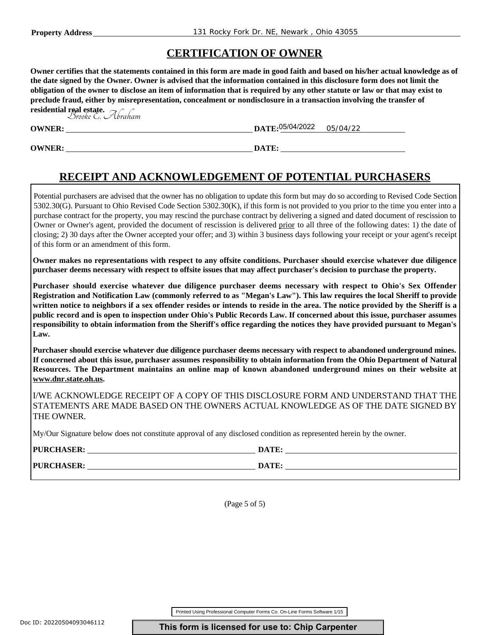## **CERTIFICATION OF OWNER**

**Owner certifies that the statements contained in this form are made in good faith and based on his/her actual knowledge as of the date signed by the Owner. Owner is advised that the information contained in this disclosure form does not limit the obligation of the owner to disclose an item of information that is required by any other statute or law or that may exist to preclude fraud, either by misrepresentation, concealment or nondisclosure in a transaction involving the transfer of residential real estate.** Brooke E. Abraham

| DATE:05/04/2022<br><b>OWNER:</b><br>$-104/z$<br>757.<br><i><u><u> Din Lui</u></u></i> |  |
|---------------------------------------------------------------------------------------|--|
|---------------------------------------------------------------------------------------|--|

**OWNER: DATE:**

## **RECEIPT AND ACKNOWLEDGEMENT OF POTENTIAL PURCHASERS**

Potential purchasers are advised that the owner has no obligation to update this form but may do so according to Revised Code Section 5302.30(G). Pursuant to Ohio Revised Code Section 5302.30(K), if this form is not provided to you prior to the time you enter into a purchase contract for the property, you may rescind the purchase contract by delivering a signed and dated document of rescission to Owner or Owner's agent, provided the document of rescission is delivered prior to all three of the following dates: 1) the date of closing; 2) 30 days after the Owner accepted your offer; and 3) within 3 business days following your receipt or your agent's receipt of this form or an amendment of this form. 131 Rocky Fork Dr. NE, Newark , Ohio 43055<br> **ERTIFICATION OF OWNER**<br>
ed in this form are made in good faith and based on his disconsered that the information orbitated in this discolure<br>
of information that is required by

**Owner makes no representations with respect to any offsite conditions. Purchaser should exercise whatever due diligence purchaser deems necessary with respect to offsite issues that may affect purchaser's decision to purchase the property.**

**Purchaser should exercise whatever due diligence purchaser deems necessary with respect to Ohio's Sex Offender Registration and Notification Law (commonly referred to as "Megan's Law"). This law requires the local Sheriff to provide written notice to neighbors if a sex offender resides or intends to reside in the area. The notice provided by the Sheriff is a public record and is open to inspection under Ohio's Public Records Law. If concerned about this issue, purchaser assumes responsibility to obtain information from the Sheriff's office regarding the notices they have provided pursuant to Megan's Law.**

**Purchaser should exercise whatever due diligence purchaser deems necessary with respect to abandoned underground mines. If concerned about this issue, purchaser assumes responsibility to obtain information from the Ohio Department of Natural Resources. The Department maintains an online map of known abandoned underground mines on their website at www.dnr.state.oh.us.**

I/WE ACKNOWLEDGE RECEIPT OF A COPY OF THIS DISCLOSURE FORM AND UNDERSTAND THAT THE STATEMENTS ARE MADE BASED ON THE OWNERS ACTUAL KNOWLEDGE AS OF THE DATE SIGNED BY THE OWNER.

My/Our Signature below does not constitute approval of any disclosed condition as represented herein by the owner.

| <b>PURCHASER:</b> | DATE: |  |
|-------------------|-------|--|
| <b>PURCHASER:</b> | DATE: |  |

(Page 5 of 5)

**This form is licensed for use to: Chip Carpenter**